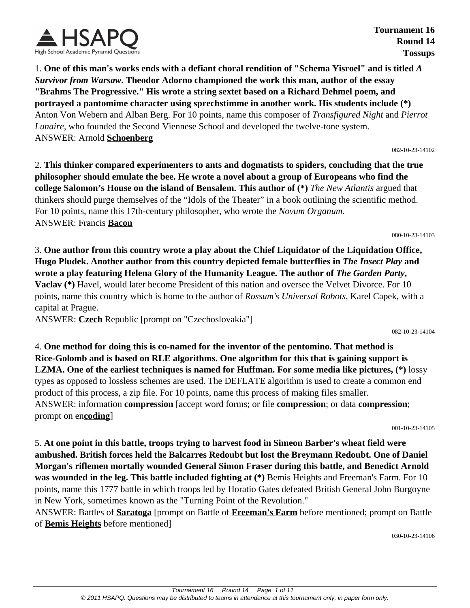

**Tournament 16 Round 14 Tossups**

1. **One of this man's works ends with a defiant choral rendition of "Schema Yisroel" and is titled** *A Survivor from Warsaw***. Theodor Adorno championed the work this man, author of the essay "Brahms The Progressive." His wrote a string sextet based on a Richard Dehmel poem, and portrayed a pantomime character using sprechstimme in another work. His students include (\*)** Anton Von Webern and Alban Berg. For 10 points, name this composer of *Transfigured Night* and *Pierrot Lunaire*, who founded the Second Viennese School and developed the twelve-tone system. ANSWER: Arnold **Schoenberg**

082-10-23-14102

2. **This thinker compared experimenters to ants and dogmatists to spiders, concluding that the true philosopher should emulate the bee. He wrote a novel about a group of Europeans who find the college Salomon's House on the island of Bensalem. This author of (\*)** *The New Atlantis* argued that thinkers should purge themselves of the "Idols of the Theater" in a book outlining the scientific method. For 10 points, name this 17th-century philosopher, who wrote the *Novum Organum*. ANSWER: Francis **Bacon**

080-10-23-14103

3. **One author from this country wrote a play about the Chief Liquidator of the Liquidation Office, Hugo Pludek. Another author from this country depicted female butterflies in** *The Insect Play* **and wrote a play featuring Helena Glory of the Humanity League. The author of** *The Garden Party***, Vaclav (\*)** Havel, would later become President of this nation and oversee the Velvet Divorce. For 10 points, name this country which is home to the author of *Rossum's Universal Robots*, Karel Capek, with a capital at Prague.

ANSWER: **Czech** Republic [prompt on "Czechoslovakia"]

082-10-23-14104

4. **One method for doing this is co-named for the inventor of the pentomino. That method is Rice-Golomb and is based on RLE algorithms. One algorithm for this that is gaining support is LZMA. One of the earliest techniques is named for Huffman. For some media like pictures, (\*)** lossy types as opposed to lossless schemes are used. The DEFLATE algorithm is used to create a common end product of this process, a zip file. For 10 points, name this process of making files smaller. ANSWER: information **compression** [accept word forms; or file **compression**; or data **compression**; prompt on en**coding**]

001-10-23-14105

5. **At one point in this battle, troops trying to harvest food in Simeon Barber's wheat field were ambushed. British forces held the Balcarres Redoubt but lost the Breymann Redoubt. One of Daniel Morgan's riflemen mortally wounded General Simon Fraser during this battle, and Benedict Arnold was wounded in the leg. This battle included fighting at (\*)** Bemis Heights and Freeman's Farm. For 10 points, name this 1777 battle in which troops led by Horatio Gates defeated British General John Burgoyne in New York, sometimes known as the "Turning Point of the Revolution."

ANSWER: Battles of **Saratoga** [prompt on Battle of **Freeman's Farm** before mentioned; prompt on Battle of **Bemis Heights** before mentioned]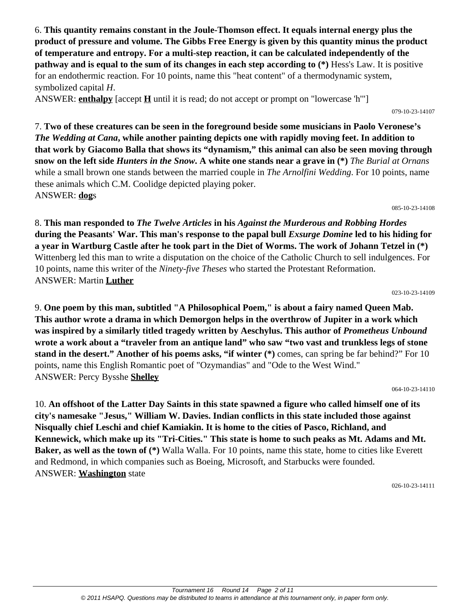6. **This quantity remains constant in the Joule-Thomson effect. It equals internal energy plus the product of pressure and volume. The Gibbs Free Energy is given by this quantity minus the product of temperature and entropy. For a multi-step reaction, it can be calculated independently of the pathway and is equal to the sum of its changes in each step according to (\*)** Hess's Law. It is positive for an endothermic reaction. For 10 points, name this "heat content" of a thermodynamic system, symbolized capital *H*.

ANSWER: **enthalpy** [accept **H** until it is read; do not accept or prompt on "lowercase 'h'"]

079-10-23-14107

7. **Two of these creatures can be seen in the foreground beside some musicians in Paolo Veronese's**  *The Wedding at Cana***, while another painting depicts one with rapidly moving feet. In addition to that work by Giacomo Balla that shows its "dynamism," this animal can also be seen moving through snow on the left side** *Hunters in the Snow***. A white one stands near a grave in (\*)** *The Burial at Ornans* while a small brown one stands between the married couple in *The Arnolfini Wedding*. For 10 points, name these animals which C.M. Coolidge depicted playing poker. ANSWER: **dog**s

085-10-23-14108

8. **This man responded to** *The Twelve Articles* **in his** *Against the Murderous and Robbing Hordes* **during the Peasants' War. This man's response to the papal bull** *Exsurge Domine* **led to his hiding for a year in Wartburg Castle after he took part in the Diet of Worms. The work of Johann Tetzel in (\*)** Wittenberg led this man to write a disputation on the choice of the Catholic Church to sell indulgences. For 10 points, name this writer of the *Ninety-five Theses* who started the Protestant Reformation. ANSWER: Martin **Luther**

023-10-23-14109

9. **One poem by this man, subtitled "A Philosophical Poem," is about a fairy named Queen Mab. This author wrote a drama in which Demorgon helps in the overthrow of Jupiter in a work which was inspired by a similarly titled tragedy written by Aeschylus. This author of** *Prometheus Unbound* **wrote a work about a "traveler from an antique land" who saw "two vast and trunkless legs of stone stand in the desert." Another of his poems asks, "if winter (\*)** comes, can spring be far behind?" For 10 points, name this English Romantic poet of "Ozymandias" and "Ode to the West Wind." ANSWER: Percy Bysshe **Shelley**

064-10-23-14110

10. **An offshoot of the Latter Day Saints in this state spawned a figure who called himself one of its city's namesake "Jesus," William W. Davies. Indian conflicts in this state included those against Nisqually chief Leschi and chief Kamiakin. It is home to the cities of Pasco, Richland, and Kennewick, which make up its "Tri-Cities." This state is home to such peaks as Mt. Adams and Mt. Baker, as well as the town of (\*)** Walla Walla. For 10 points, name this state, home to cities like Everett and Redmond, in which companies such as Boeing, Microsoft, and Starbucks were founded. ANSWER: **Washington** state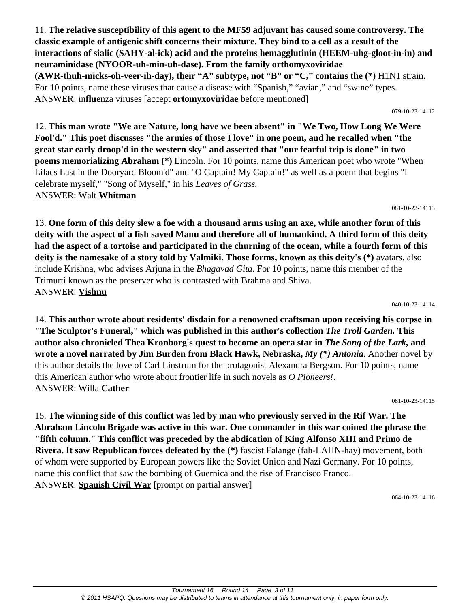11. **The relative susceptibility of this agent to the MF59 adjuvant has caused some controversy. The classic example of antigenic shift concerns their mixture. They bind to a cell as a result of the interactions of sialic (SAHY-al-ick) acid and the proteins hemagglutinin (HEEM-uhg-gloot-in-in) and neuraminidase (NYOOR-uh-min-uh-dase). From the family orthomyxoviridae (AWR-thuh-micks-oh-veer-ih-day), their "A" subtype, not "B" or "C," contains the (\*)** H1N1 strain. For 10 points, name these viruses that cause a disease with "Spanish," "avian," and "swine" types. ANSWER: in**flu**enza viruses [accept **ortomyxoviridae** before mentioned]

12. **This man wrote "We are Nature, long have we been absent" in "We Two, How Long We Were Fool'd." This poet discusses "the armies of those I love" in one poem, and he recalled when "the great star early droop'd in the western sky" and asserted that "our fearful trip is done" in two poems memorializing Abraham (\*)** Lincoln. For 10 points, name this American poet who wrote "When Lilacs Last in the Dooryard Bloom'd" and "O Captain! My Captain!" as well as a poem that begins "I celebrate myself," "Song of Myself," in his *Leaves of Grass.*

ANSWER: Walt **Whitman**

13. **One form of this deity slew a foe with a thousand arms using an axe, while another form of this deity with the aspect of a fish saved Manu and therefore all of humankind. A third form of this deity had the aspect of a tortoise and participated in the churning of the ocean, while a fourth form of this deity is the namesake of a story told by Valmiki. Those forms, known as this deity's (\*)** avatars, also include Krishna, who advises Arjuna in the *Bhagavad Gita*. For 10 points, name this member of the Trimurti known as the preserver who is contrasted with Brahma and Shiva. ANSWER: **Vishnu**

14. **This author wrote about residents' disdain for a renowned craftsman upon receiving his corpse in "The Sculptor's Funeral," which was published in this author's collection** *The Troll Garden.* **This author also chronicled Thea Kronborg's quest to become an opera star in** *The Song of the Lark,* **and wrote a novel narrated by Jim Burden from Black Hawk, Nebraska,** *My (\*) Antonia*. Another novel by this author details the love of Carl Linstrum for the protagonist Alexandra Bergson. For 10 points, name this American author who wrote about frontier life in such novels as *O Pioneers!*. ANSWER: Willa **Cather**

15. **The winning side of this conflict was led by man who previously served in the Rif War. The Abraham Lincoln Brigade was active in this war. One commander in this war coined the phrase the "fifth column." This conflict was preceded by the abdication of King Alfonso XIII and Primo de Rivera. It saw Republican forces defeated by the (\*)** fascist Falange (fah-LAHN-hay) movement, both of whom were supported by European powers like the Soviet Union and Nazi Germany. For 10 points, name this conflict that saw the bombing of Guernica and the rise of Francisco Franco. ANSWER: **Spanish Civil War** [prompt on partial answer]

064-10-23-14116

#### 040-10-23-14114

081-10-23-14113

#### 079-10-23-14112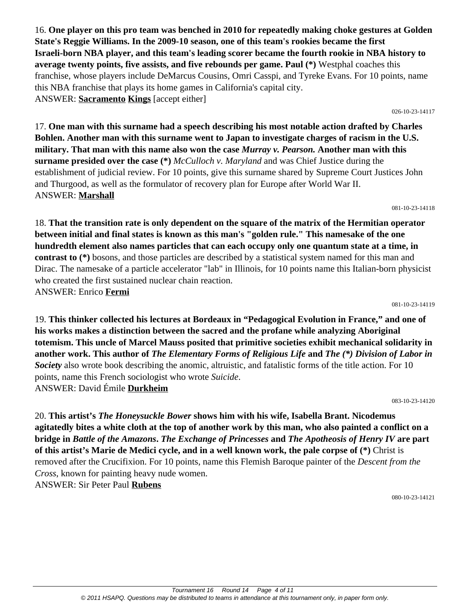16. **One player on this pro team was benched in 2010 for repeatedly making choke gestures at Golden State's Reggie Williams. In the 2009-10 season, one of this team's rookies became the first Israeli-born NBA player, and this team's leading scorer became the fourth rookie in NBA history to average twenty points, five assists, and five rebounds per game. Paul (\*)** Westphal coaches this franchise, whose players include DeMarcus Cousins, Omri Casspi, and Tyreke Evans. For 10 points, name this NBA franchise that plays its home games in California's capital city. ANSWER: **Sacramento Kings** [accept either]

026-10-23-14117

17. **One man with this surname had a speech describing his most notable action drafted by Charles Bohlen. Another man with this surname went to Japan to investigate charges of racism in the U.S. military. That man with this name also won the case** *Murray v. Pearson.* **Another man with this surname presided over the case (\*)** *McCulloch v. Maryland* and was Chief Justice during the establishment of judicial review. For 10 points, give this surname shared by Supreme Court Justices John and Thurgood, as well as the formulator of recovery plan for Europe after World War II. ANSWER: **Marshall**

081-10-23-14118

18. **That the transition rate is only dependent on the square of the matrix of the Hermitian operator between initial and final states is known as this man's "golden rule." This namesake of the one hundredth element also names particles that can each occupy only one quantum state at a time, in contrast to (\*)** bosons, and those particles are described by a statistical system named for this man and Dirac. The namesake of a particle accelerator "lab" in Illinois, for 10 points name this Italian-born physicist who created the first sustained nuclear chain reaction. ANSWER: Enrico **Fermi**

081-10-23-14119

19. **This thinker collected his lectures at Bordeaux in "Pedagogical Evolution in France," and one of his works makes a distinction between the sacred and the profane while analyzing Aboriginal totemism. This uncle of Marcel Mauss posited that primitive societies exhibit mechanical solidarity in another work. This author of** *The Elementary Forms of Religious Life* **and** *The (\*) Division of Labor in Society* also wrote book describing the anomic, altruistic, and fatalistic forms of the title action. For 10 points, name this French sociologist who wrote *Suicide*. ANSWER: David Émile **Durkheim**

083-10-23-14120

20. **This artist's** *The Honeysuckle Bower* **shows him with his wife, Isabella Brant. Nicodemus agitatedly bites a white cloth at the top of another work by this man, who also painted a conflict on a bridge in** *Battle of the Amazons***.** *The Exchange of Princesses* **and** *The Apotheosis of Henry IV* **are part of this artist's Marie de Medici cycle, and in a well known work, the pale corpse of (\*)** Christ is removed after the Crucifixion. For 10 points, name this Flemish Baroque painter of the *Descent from the Cross*, known for painting heavy nude women. ANSWER: Sir Peter Paul **Rubens**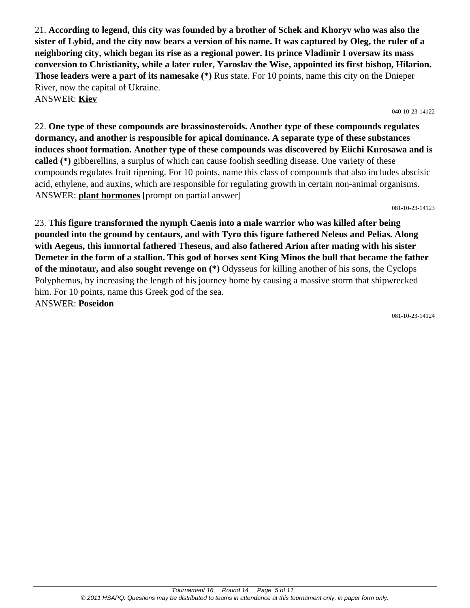21. **According to legend, this city was founded by a brother of Schek and Khoryv who was also the sister of Lybid, and the city now bears a version of his name. It was captured by Oleg, the ruler of a neighboring city, which began its rise as a regional power. Its prince Vladimir I oversaw its mass conversion to Christianity, while a later ruler, Yaroslav the Wise, appointed its first bishop, Hilarion. Those leaders were a part of its namesake (\*)** Rus state. For 10 points, name this city on the Dnieper River, now the capital of Ukraine. ANSWER: **Kiev**

040-10-23-14122

22. **One type of these compounds are brassinosteroids. Another type of these compounds regulates dormancy, and another is responsible for apical dominance. A separate type of these substances induces shoot formation. Another type of these compounds was discovered by Eiichi Kurosawa and is called (\*)** gibberellins, a surplus of which can cause foolish seedling disease. One variety of these compounds regulates fruit ripening. For 10 points, name this class of compounds that also includes abscisic acid, ethylene, and auxins, which are responsible for regulating growth in certain non-animal organisms. ANSWER: **plant hormones** [prompt on partial answer]

081-10-23-14123

23. **This figure transformed the nymph Caenis into a male warrior who was killed after being pounded into the ground by centaurs, and with Tyro this figure fathered Neleus and Pelias. Along with Aegeus, this immortal fathered Theseus, and also fathered Arion after mating with his sister Demeter in the form of a stallion. This god of horses sent King Minos the bull that became the father of the minotaur, and also sought revenge on (\*)** Odysseus for killing another of his sons, the Cyclops Polyphemus, by increasing the length of his journey home by causing a massive storm that shipwrecked him. For 10 points, name this Greek god of the sea. ANSWER: **Poseidon**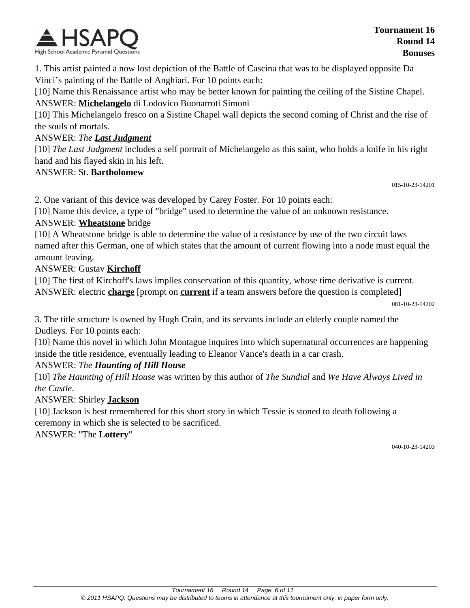

1. This artist painted a now lost depiction of the Battle of Cascina that was to be displayed opposite Da Vinci's painting of the Battle of Anghiari. For 10 points each:

[10] Name this Renaissance artist who may be better known for painting the ceiling of the Sistine Chapel. ANSWER: **Michelangelo** di Lodovico Buonarroti Simoni

[10] This Michelangelo fresco on a Sistine Chapel wall depicts the second coming of Christ and the rise of the souls of mortals.

#### ANSWER: *The Last Judgment*

[10] *The Last Judgment* includes a self portrait of Michelangelo as this saint, who holds a knife in his right hand and his flayed skin in his left.

#### ANSWER: St. **Bartholomew**

015-10-23-14201

2. One variant of this device was developed by Carey Foster. For 10 points each:

[10] Name this device, a type of "bridge" used to determine the value of an unknown resistance.

#### ANSWER: **Wheatstone** bridge

[10] A Wheatstone bridge is able to determine the value of a resistance by use of the two circuit laws named after this German, one of which states that the amount of current flowing into a node must equal the amount leaving.

#### ANSWER: Gustav **Kirchoff**

[10] The first of Kirchoff's laws implies conservation of this quantity, whose time derivative is current. ANSWER: electric **charge** [prompt on **current** if a team answers before the question is completed]

081-10-23-14202

3. The title structure is owned by Hugh Crain, and its servants include an elderly couple named the Dudleys. For 10 points each:

[10] Name this novel in which John Montague inquires into which supernatural occurrences are happening inside the title residence, eventually leading to Eleanor Vance's death in a car crash.

#### ANSWER: *The Haunting of Hill House*

[10] *The Haunting of Hill House* was written by this author of *The Sundial* and *We Have Always Lived in the Castle*.

#### ANSWER: Shirley **Jackson**

[10] Jackson is best remembered for this short story in which Tessie is stoned to death following a ceremony in which she is selected to be sacrificed.

ANSWER: "The **Lottery**"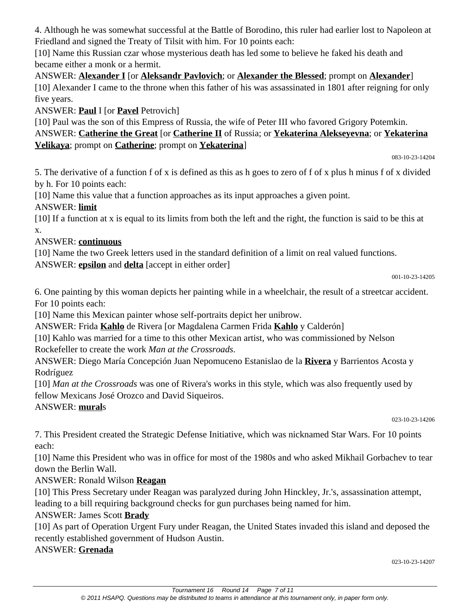4. Although he was somewhat successful at the Battle of Borodino, this ruler had earlier lost to Napoleon at Friedland and signed the Treaty of Tilsit with him. For 10 points each:

[10] Name this Russian czar whose mysterious death has led some to believe he faked his death and became either a monk or a hermit.

ANSWER: **Alexander I** [or **Aleksandr Pavlovich**; or **Alexander the Blessed**; prompt on **Alexander**] [10] Alexander I came to the throne when this father of his was assassinated in 1801 after reigning for only five years.

ANSWER: **Paul** I [or **Pavel** Petrovich]

[10] Paul was the son of this Empress of Russia, the wife of Peter III who favored Grigory Potemkin. ANSWER: **Catherine the Great** [or **Catherine II** of Russia; or **Yekaterina Alekseyevna**; or **Yekaterina Velikaya**; prompt on **Catherine**; prompt on **Yekaterina**]

083-10-23-14204

5. The derivative of a function f of x is defined as this as h goes to zero of f of x plus h minus f of x divided by h. For 10 points each:

[10] Name this value that a function approaches as its input approaches a given point.

# ANSWER: **limit**

[10] If a function at x is equal to its limits from both the left and the right, the function is said to be this at x.

# ANSWER: **continuous**

[10] Name the two Greek letters used in the standard definition of a limit on real valued functions.

ANSWER: **epsilon** and **delta** [accept in either order]

001-10-23-14205

6. One painting by this woman depicts her painting while in a wheelchair, the result of a streetcar accident. For 10 points each:

[10] Name this Mexican painter whose self-portraits depict her unibrow.

ANSWER: Frida **Kahlo** de Rivera [or Magdalena Carmen Frida **Kahlo** y Calderón]

[10] Kahlo was married for a time to this other Mexican artist, who was commissioned by Nelson Rockefeller to create the work *Man at the Crossroads*.

ANSWER: Diego María Concepción Juan Nepomuceno Estanislao de la **Rivera** y Barrientos Acosta y Rodríguez

[10] *Man at the Crossroads* was one of Rivera's works in this style, which was also frequently used by fellow Mexicans José Orozco and David Siqueiros.

# ANSWER: **mural**s

023-10-23-14206

7. This President created the Strategic Defense Initiative, which was nicknamed Star Wars. For 10 points each:

[10] Name this President who was in office for most of the 1980s and who asked Mikhail Gorbachev to tear down the Berlin Wall.

# ANSWER: Ronald Wilson **Reagan**

[10] This Press Secretary under Reagan was paralyzed during John Hinckley, Jr.'s, assassination attempt, leading to a bill requiring background checks for gun purchases being named for him.

# ANSWER: James Scott **Brady**

[10] As part of Operation Urgent Fury under Reagan, the United States invaded this island and deposed the recently established government of Hudson Austin.

# ANSWER: **Grenada**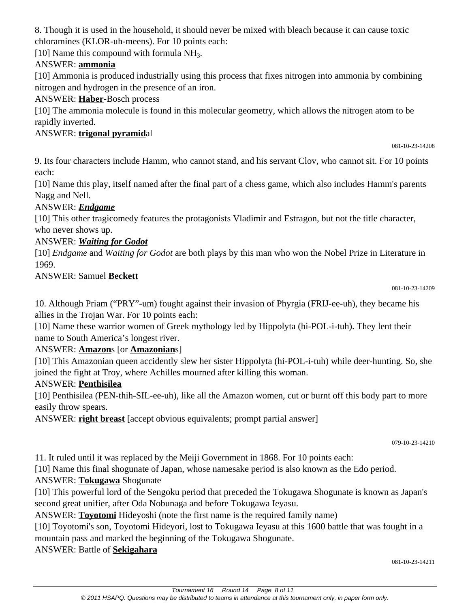8. Though it is used in the household, it should never be mixed with bleach because it can cause toxic chloramines (KLOR-uh-meens). For 10 points each:

[10] Name this compound with formula  $NH<sub>3</sub>$ .

# ANSWER: **ammonia**

[10] Ammonia is produced industrially using this process that fixes nitrogen into ammonia by combining nitrogen and hydrogen in the presence of an iron.

### ANSWER: **Haber**-Bosch process

[10] The ammonia molecule is found in this molecular geometry, which allows the nitrogen atom to be rapidly inverted.

# ANSWER: **trigonal pyramid**al

081-10-23-14208

9. Its four characters include Hamm, who cannot stand, and his servant Clov, who cannot sit. For 10 points each:

[10] Name this play, itself named after the final part of a chess game, which also includes Hamm's parents Nagg and Nell.

# ANSWER: *Endgame*

[10] This other tragicomedy features the protagonists Vladimir and Estragon, but not the title character, who never shows up.

# ANSWER: *Waiting for Godot*

[10] *Endgame* and *Waiting for Godot* are both plays by this man who won the Nobel Prize in Literature in 1969.

### ANSWER: Samuel **Beckett**

081-10-23-14209

10. Although Priam ("PRY"-um) fought against their invasion of Phyrgia (FRIJ-ee-uh), they became his allies in the Trojan War. For 10 points each:

[10] Name these warrior women of Greek mythology led by Hippolyta (hi-POL-i-tuh). They lent their name to South America's longest river.

# ANSWER: **Amazon**s [or **Amazonian**s]

[10] This Amazonian queen accidently slew her sister Hippolyta (hi-POL-i-tuh) while deer-hunting. So, she joined the fight at Troy, where Achilles mourned after killing this woman.

# ANSWER: **Penthisilea**

[10] Penthisilea (PEN-thih-SIL-ee-uh), like all the Amazon women, cut or burnt off this body part to more easily throw spears.

ANSWER: **right breast** [accept obvious equivalents; prompt partial answer]

079-10-23-14210

11. It ruled until it was replaced by the Meiji Government in 1868. For 10 points each:

[10] Name this final shogunate of Japan, whose namesake period is also known as the Edo period.

# ANSWER: **Tokugawa** Shogunate

[10] This powerful lord of the Sengoku period that preceded the Tokugawa Shogunate is known as Japan's second great unifier, after Oda Nobunaga and before Tokugawa Ieyasu.

ANSWER: **Toyotomi** Hideyoshi (note the first name is the required family name)

[10] Toyotomi's son, Toyotomi Hideyori, lost to Tokugawa Ieyasu at this 1600 battle that was fought in a mountain pass and marked the beginning of the Tokugawa Shogunate.

ANSWER: Battle of **Sekigahara**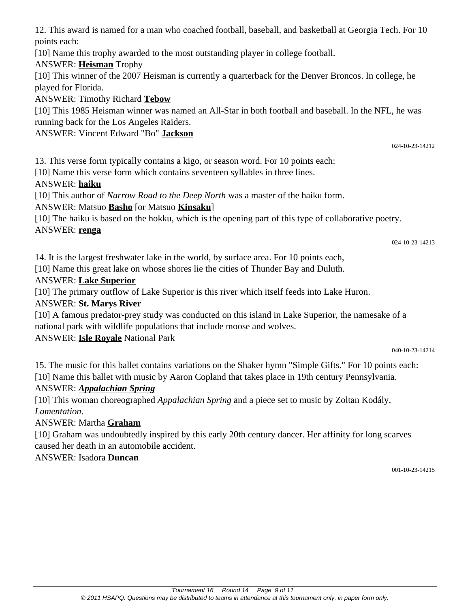12. This award is named for a man who coached football, baseball, and basketball at Georgia Tech. For 10 points each:

[10] Name this trophy awarded to the most outstanding player in college football.

ANSWER: **Heisman** Trophy

[10] This winner of the 2007 Heisman is currently a quarterback for the Denver Broncos. In college, he played for Florida.

ANSWER: Timothy Richard **Tebow**

[10] This 1985 Heisman winner was named an All-Star in both football and baseball. In the NFL, he was running back for the Los Angeles Raiders.

ANSWER: Vincent Edward "Bo" **Jackson**

13. This verse form typically contains a kigo, or season word. For 10 points each:

[10] Name this verse form which contains seventeen syllables in three lines.

# ANSWER: **haiku**

[10] This author of *Narrow Road to the Deep North* was a master of the haiku form.

ANSWER: Matsuo **Basho** [or Matsuo **Kinsaku**]

[10] The haiku is based on the hokku, which is the opening part of this type of collaborative poetry. ANSWER: **renga**

024-10-23-14213

024-10-23-14212

14. It is the largest freshwater lake in the world, by surface area. For 10 points each,

[10] Name this great lake on whose shores lie the cities of Thunder Bay and Duluth.

# ANSWER: **Lake Superior**

[10] The primary outflow of Lake Superior is this river which itself feeds into Lake Huron.

# ANSWER: **St. Marys River**

[10] A famous predator-prey study was conducted on this island in Lake Superior, the namesake of a national park with wildlife populations that include moose and wolves.

ANSWER: **Isle Royale** National Park

040-10-23-14214

15. The music for this ballet contains variations on the Shaker hymn "Simple Gifts." For 10 points each: [10] Name this ballet with music by Aaron Copland that takes place in 19th century Pennsylvania.

# ANSWER: *Appalachian Spring*

[10] This woman choreographed *Appalachian Spring* and a piece set to music by Zoltan Kodály, *Lamentation*.

# ANSWER: Martha **Graham**

[10] Graham was undoubtedly inspired by this early 20th century dancer. Her affinity for long scarves caused her death in an automobile accident.

# ANSWER: Isadora **Duncan**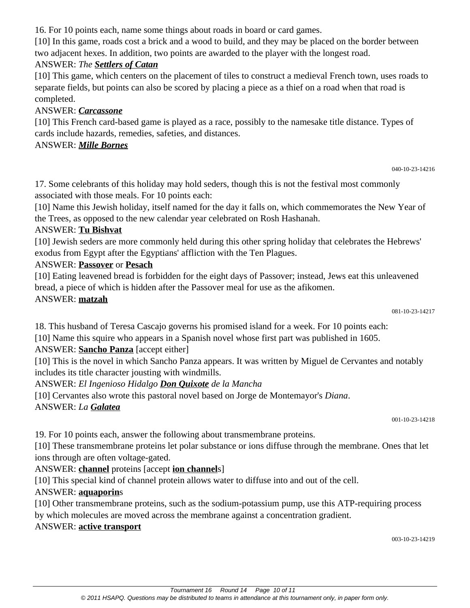16. For 10 points each, name some things about roads in board or card games.

[10] In this game, roads cost a brick and a wood to build, and they may be placed on the border between two adjacent hexes. In addition, two points are awarded to the player with the longest road.

#### ANSWER: *The Settlers of Catan*

[10] This game, which centers on the placement of tiles to construct a medieval French town, uses roads to separate fields, but points can also be scored by placing a piece as a thief on a road when that road is completed.

### ANSWER: *Carcassone*

[10] This French card-based game is played as a race, possibly to the namesake title distance. Types of cards include hazards, remedies, safeties, and distances.

### ANSWER: *Mille Bornes*

040-10-23-14216

17. Some celebrants of this holiday may hold seders, though this is not the festival most commonly associated with those meals. For 10 points each:

[10] Name this Jewish holiday, itself named for the day it falls on, which commemorates the New Year of the Trees, as opposed to the new calendar year celebrated on Rosh Hashanah.

### ANSWER: **Tu Bishvat**

[10] Jewish seders are more commonly held during this other spring holiday that celebrates the Hebrews' exodus from Egypt after the Egyptians' affliction with the Ten Plagues.

### ANSWER: **Passover** or **Pesach**

[10] Eating leavened bread is forbidden for the eight days of Passover; instead, Jews eat this unleavened bread, a piece of which is hidden after the Passover meal for use as the afikomen.

### ANSWER: **matzah**

081-10-23-14217

18. This husband of Teresa Cascajo governs his promised island for a week. For 10 points each:

[10] Name this squire who appears in a Spanish novel whose first part was published in 1605.

# ANSWER: **Sancho Panza** [accept either]

[10] This is the novel in which Sancho Panza appears. It was written by Miguel de Cervantes and notably includes its title character jousting with windmills.

ANSWER: *El Ingenioso Hidalgo Don Quixote de la Mancha*

[10] Cervantes also wrote this pastoral novel based on Jorge de Montemayor's *Diana*.

# ANSWER: *La Galatea*

001-10-23-14218

19. For 10 points each, answer the following about transmembrane proteins.

[10] These transmembrane proteins let polar substance or ions diffuse through the membrane. Ones that let ions through are often voltage-gated.

ANSWER: **channel** proteins [accept **ion channel**s]

[10] This special kind of channel protein allows water to diffuse into and out of the cell.

# ANSWER: **aquaporin**s

[10] Other transmembrane proteins, such as the sodium-potassium pump, use this ATP-requiring process by which molecules are moved across the membrane against a concentration gradient.

# ANSWER: **active transport**